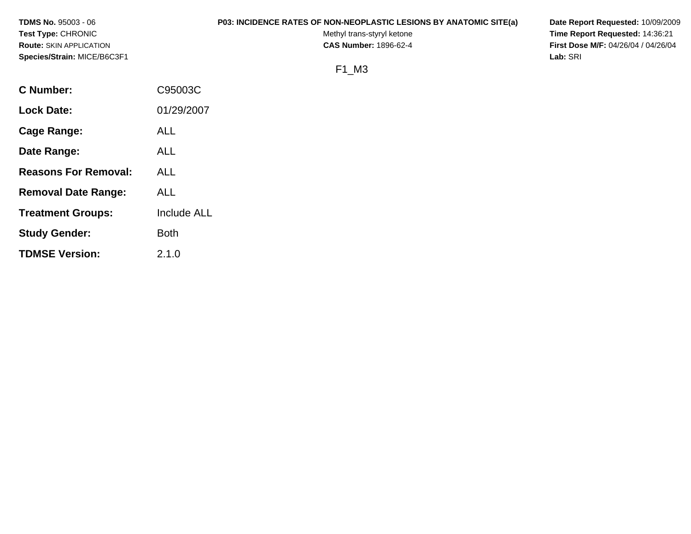| <b>TDMS No. 95003 - 06</b>     |         | <b>P03: INCIDENCE RATES OF NON-NEOPLASTIC LESIONS BY ANATOMIC SITE(a)</b> | Date Report Requested: 10/09/2009          |
|--------------------------------|---------|---------------------------------------------------------------------------|--------------------------------------------|
| <b>Test Type: CHRONIC</b>      |         | Methyl trans-styryl ketone                                                | Time Report Requested: 14:36:21            |
| <b>Route: SKIN APPLICATION</b> |         | <b>CAS Number: 1896-62-4</b>                                              | <b>First Dose M/F: 04/26/04 / 04/26/04</b> |
| Species/Strain: MICE/B6C3F1    |         |                                                                           | Lab: SRI                                   |
|                                |         | F1 M3                                                                     |                                            |
| <b>C</b> Number:               | C95003C |                                                                           |                                            |

**Lock Date:** 01/29/2007

**Treatment Groups:** Include ALL

**Cage Range:** ALL

**Date Range:** ALL

**Reasons For Removal:** ALL

**Removal Date Range:** ALL

**Study Gender:** Both

**TDMSE Version:** 2.1.0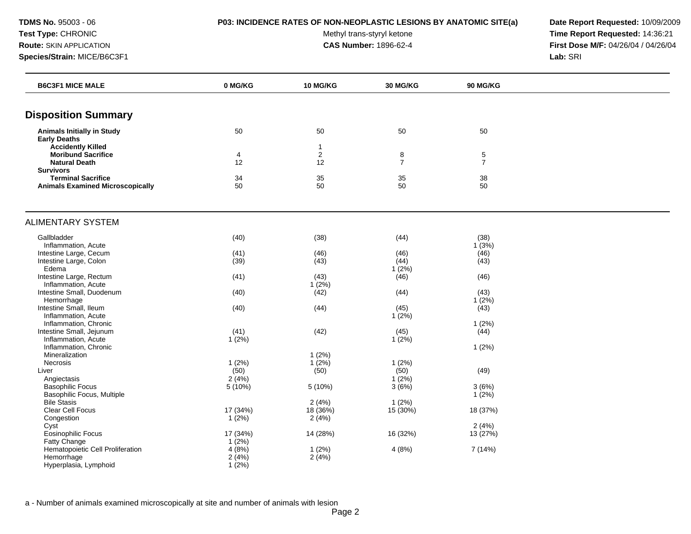**TDMS No.** 95003 - 06 **P03: INCIDENCE RATES OF NON-NEOPLASTIC LESIONS BY ANATOMIC SITE(a) Date Report Requested:** 10/09/2009

Test Type: CHRONIC **Test Type:** CHRONIC **Test Type:** CHRONIC **Time Report Requested:** 14:36:21 **Route:** SKIN APPLICATION **CAS Number:** 1896-62-4 **First Dose M/F:** 04/26/04 / 04/26/04

| <b>B6C3F1 MICE MALE</b>                                                       | 0 MG/KG  | <b>10 MG/KG</b>         | 30 MG/KG            | <b>90 MG/KG</b>     |  |
|-------------------------------------------------------------------------------|----------|-------------------------|---------------------|---------------------|--|
|                                                                               |          |                         |                     |                     |  |
| <b>Disposition Summary</b>                                                    |          |                         |                     |                     |  |
| <b>Animals Initially in Study</b><br><b>Early Deaths</b>                      | 50       | 50                      | 50                  | 50                  |  |
| <b>Accidently Killed</b><br><b>Moribund Sacrifice</b><br><b>Natural Death</b> | 4<br>12  | $\mathbf{1}$<br>2<br>12 | 8<br>$\overline{7}$ | 5<br>$\overline{7}$ |  |
| <b>Survivors</b>                                                              |          |                         |                     |                     |  |
| <b>Terminal Sacrifice</b><br><b>Animals Examined Microscopically</b>          | 34<br>50 | 35<br>50                | 35<br>50            | 38<br>50            |  |
| <b>ALIMENTARY SYSTEM</b>                                                      |          |                         |                     |                     |  |
| Gallbladder                                                                   | (40)     | (38)                    | (44)                | (38)                |  |
| Inflammation, Acute                                                           |          |                         |                     | 1(3%)               |  |
| Intestine Large, Cecum                                                        | (41)     | (46)                    | (46)                | (46)                |  |
| Intestine Large, Colon                                                        | (39)     | (43)                    | (44)                | (43)                |  |
| Edema                                                                         |          |                         | $1(2\%)$            |                     |  |
| Intestine Large, Rectum                                                       | (41)     | (43)                    | (46)                | (46)                |  |
| Inflammation, Acute                                                           |          | 1(2%)                   |                     |                     |  |
| Intestine Small, Duodenum                                                     | (40)     | (42)                    | (44)                | (43)                |  |
| Hemorrhage                                                                    |          |                         |                     | $1(2\%)$            |  |
| Intestine Small, Ileum                                                        | (40)     | (44)                    | (45)                | (43)                |  |
| Inflammation, Acute<br>Inflammation, Chronic                                  |          |                         | 1(2%)               | 1(2%)               |  |
| Intestine Small, Jejunum                                                      | (41)     | (42)                    | (45)                | (44)                |  |
| Inflammation, Acute                                                           | $1(2\%)$ |                         | $1(2\%)$            |                     |  |
| Inflammation, Chronic                                                         |          |                         |                     | 1(2%)               |  |
| Mineralization                                                                |          | 1(2%)                   |                     |                     |  |
| Necrosis                                                                      | 1(2%)    | $1(2\%)$                | 1(2%)               |                     |  |
| Liver                                                                         | (50)     | (50)                    | (50)                | (49)                |  |
| Angiectasis                                                                   | 2(4%)    |                         | 1(2%)               |                     |  |
| <b>Basophilic Focus</b>                                                       | 5(10%)   | $5(10\%)$               | 3(6%)               | 3(6%)               |  |
| Basophilic Focus, Multiple                                                    |          |                         |                     | 1(2%)               |  |
| <b>Bile Stasis</b>                                                            |          | 2(4%)                   | 1(2%)               |                     |  |
| Clear Cell Focus                                                              | 17 (34%) | 18 (36%)                | 15 (30%)            | 18 (37%)            |  |
| Congestion                                                                    | 1(2%)    | 2(4%)                   |                     |                     |  |
| Cyst                                                                          |          |                         |                     | 2(4%)               |  |
| Eosinophilic Focus                                                            | 17 (34%) | 14 (28%)                | 16 (32%)            | 13 (27%)            |  |
| Fatty Change                                                                  | 1(2%)    |                         |                     |                     |  |
| Hematopoietic Cell Proliferation                                              | 4(8%)    | 1(2%)                   | 4(8%)               | 7 (14%)             |  |
| Hemorrhage                                                                    | 2(4%)    | 2(4%)                   |                     |                     |  |
| Hyperplasia, Lymphoid                                                         | $1(2\%)$ |                         |                     |                     |  |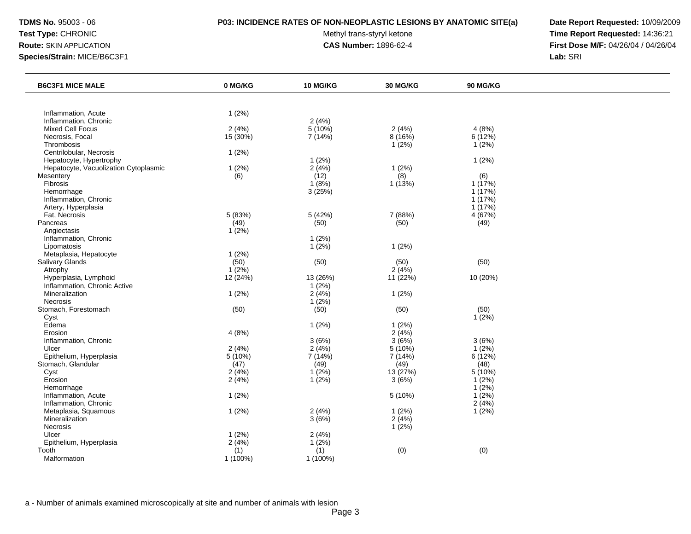### **TDMS No.** 95003 - 06 **P03: INCIDENCE RATES OF NON-NEOPLASTIC LESIONS BY ANATOMIC SITE(a) Date Report Requested:** 10/09/2009

Test Type: CHRONIC **Test Type:** CHRONIC **Test Type:** CHRONIC **Time Report Requested:** 14:36:21 **Route:** SKIN APPLICATION **CAS Number:** 1896-62-4 **First Dose M/F:** 04/26/04 / 04/26/04

| <b>B6C3F1 MICE MALE</b>               | 0 MG/KG  | 10 MG/KG  | 30 MG/KG | 90 MG/KG  |  |
|---------------------------------------|----------|-----------|----------|-----------|--|
|                                       |          |           |          |           |  |
| Inflammation, Acute                   | 1(2%)    |           |          |           |  |
| Inflammation, Chronic                 |          | 2(4%)     |          |           |  |
| Mixed Cell Focus                      | 2(4%)    | $5(10\%)$ | 2(4%)    | 4(8%)     |  |
| Necrosis, Focal                       | 15 (30%) | 7(14%)    | 8(16%)   | 6 (12%)   |  |
| Thrombosis                            |          |           | 1(2%)    | 1(2%)     |  |
| Centrilobular, Necrosis               | 1(2%)    |           |          |           |  |
| Hepatocyte, Hypertrophy               |          | 1(2%)     |          | 1(2%)     |  |
| Hepatocyte, Vacuolization Cytoplasmic | 1(2%)    | 2(4%)     | 1(2%)    |           |  |
| Mesentery                             | (6)      | (12)      | (8)      | (6)       |  |
| Fibrosis                              |          | 1(8%)     | 1(13%)   | 1(17%)    |  |
| Hemorrhage                            |          | 3(25%)    |          | 1(17%)    |  |
| Inflammation, Chronic                 |          |           |          | 1 (17%)   |  |
| Artery, Hyperplasia                   |          |           |          | 1(17%)    |  |
| Fat, Necrosis                         | 5 (83%)  | 5 (42%)   | 7 (88%)  | 4(67%)    |  |
| Pancreas                              | (49)     | (50)      | (50)     | (49)      |  |
| Angiectasis                           | $1(2\%)$ |           |          |           |  |
| Inflammation, Chronic                 |          | 1(2%)     |          |           |  |
| Lipomatosis                           |          | 1(2%)     | 1(2%)    |           |  |
| Metaplasia, Hepatocyte                | 1(2%)    |           |          |           |  |
| Salivary Glands                       | (50)     | (50)      | (50)     | (50)      |  |
| Atrophy                               | 1(2%)    |           | 2(4%)    |           |  |
| Hyperplasia, Lymphoid                 | 12(24%)  | 13 (26%)  | 11(22%)  | 10 (20%)  |  |
| Inflammation, Chronic Active          |          | 1(2%)     |          |           |  |
| Mineralization                        | 1(2%)    | 2(4%)     | 1(2%)    |           |  |
| Necrosis                              |          | 1(2%)     |          |           |  |
| Stomach, Forestomach                  | (50)     | (50)      | (50)     | (50)      |  |
| Cyst                                  |          |           |          | 1(2%)     |  |
| Edema                                 |          | 1(2%)     | 1(2%)    |           |  |
| Erosion                               | 4(8%)    |           | 2(4%)    |           |  |
| Inflammation, Chronic                 |          | 3(6%)     | 3(6%)    | 3(6%)     |  |
| Ulcer                                 | 2(4%)    | 2(4%)     | 5(10%)   | $1(2\%)$  |  |
| Epithelium, Hyperplasia               | 5(10%)   | 7 (14%)   | 7(14%)   | 6(12%)    |  |
| Stomach, Glandular                    | (47)     | (49)      | (49)     | (48)      |  |
| Cyst                                  | 2(4%)    | 1(2%)     | 13 (27%) | $5(10\%)$ |  |
| Erosion                               | 2(4%)    | 1(2%)     | 3(6%)    | $1(2\%)$  |  |
| Hemorrhage                            |          |           |          | 1(2%)     |  |
| Inflammation, Acute                   | 1(2%)    |           | 5 (10%)  | 1(2%)     |  |
| Inflammation, Chronic                 |          |           |          | 2(4%)     |  |
| Metaplasia, Squamous                  | 1(2%)    | 2(4%)     | 1(2%)    | 1(2%)     |  |
| Mineralization                        |          | 3(6%)     | 2(4%)    |           |  |
| <b>Necrosis</b>                       |          |           | 1(2%)    |           |  |
| Ulcer                                 | 1(2%)    | 2(4%)     |          |           |  |
| Epithelium, Hyperplasia               | 2(4%)    | 1(2%)     |          |           |  |
| Tooth                                 | (1)      | (1)       | (0)      | (0)       |  |
| Malformation                          | 1 (100%) | 1 (100%)  |          |           |  |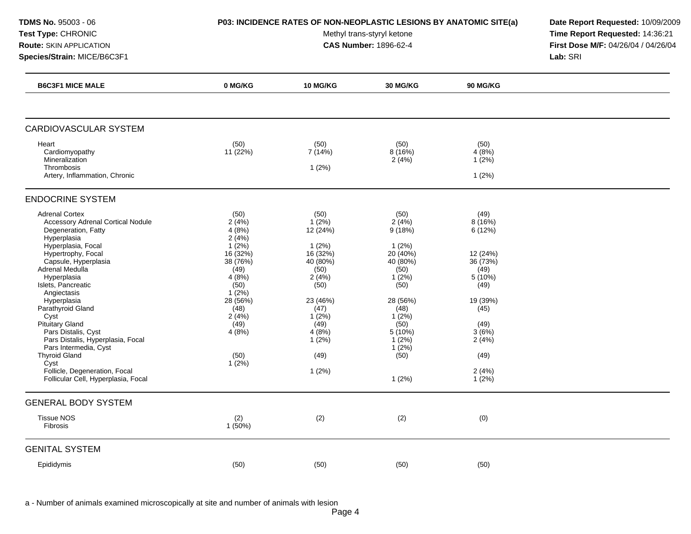Test Type: CHRONIC **Test Type:** CHRONIC **Test Type:** CHRONIC **Time Report Requested:** 14:36:21 **Route:** SKIN APPLICATION **CAS Number:** 1896-62-4 **First Dose M/F:** 04/26/04 / 04/26/04 **Species/Strain:** MICE/B6C3F1 **Lab:** SRI

| <b>B6C3F1 MICE MALE</b>                                                                                                                                                                                                                                                 | 0 MG/KG                                                                                     | 10 MG/KG                                                                               | <b>30 MG/KG</b>                                                                      | 90 MG/KG                                                                   |  |
|-------------------------------------------------------------------------------------------------------------------------------------------------------------------------------------------------------------------------------------------------------------------------|---------------------------------------------------------------------------------------------|----------------------------------------------------------------------------------------|--------------------------------------------------------------------------------------|----------------------------------------------------------------------------|--|
|                                                                                                                                                                                                                                                                         |                                                                                             |                                                                                        |                                                                                      |                                                                            |  |
| <b>CARDIOVASCULAR SYSTEM</b>                                                                                                                                                                                                                                            |                                                                                             |                                                                                        |                                                                                      |                                                                            |  |
| Heart<br>Cardiomyopathy<br>Mineralization<br>Thrombosis<br>Artery, Inflammation, Chronic                                                                                                                                                                                | (50)<br>11(22%)                                                                             | (50)<br>7(14%)<br>1(2%)                                                                | (50)<br>8(16%)<br>2(4%)                                                              | (50)<br>4(8%)<br>$1(2\%)$<br>1(2%)                                         |  |
| <b>ENDOCRINE SYSTEM</b>                                                                                                                                                                                                                                                 |                                                                                             |                                                                                        |                                                                                      |                                                                            |  |
| <b>Adrenal Cortex</b><br><b>Accessory Adrenal Cortical Nodule</b><br>Degeneration, Fatty<br>Hyperplasia<br>Hyperplasia, Focal<br>Hypertrophy, Focal<br>Capsule, Hyperplasia<br>Adrenal Medulla<br>Hyperplasia<br>Islets, Pancreatic                                     | (50)<br>2(4%)<br>4(8%)<br>2(4%)<br>$1(2\%)$<br>16(32%)<br>38 (76%)<br>(49)<br>4(8%)<br>(50) | (50)<br>$1(2\%)$<br>12 (24%)<br>1(2%)<br>16 (32%)<br>40 (80%)<br>(50)<br>2(4%)<br>(50) | (50)<br>2(4%)<br>9(18%)<br>1(2%)<br>20 (40%)<br>40 (80%)<br>(50)<br>$1(2\%)$<br>(50) | (49)<br>8(16%)<br>6(12%)<br>12 (24%)<br>36 (73%)<br>(49)<br>5(10%)<br>(49) |  |
| Angiectasis<br>Hyperplasia<br>Parathyroid Gland<br>Cyst<br>Pituitary Gland<br>Pars Distalis, Cyst<br>Pars Distalis, Hyperplasia, Focal<br>Pars Intermedia, Cyst<br><b>Thyroid Gland</b><br>Cyst<br>Follicle, Degeneration, Focal<br>Follicular Cell, Hyperplasia, Focal | $1(2\%)$<br>28 (56%)<br>(48)<br>2(4%)<br>(49)<br>4(8%)<br>(50)<br>$1(2\%)$                  | 23 (46%)<br>(47)<br>$1(2\%)$<br>(49)<br>4(8%)<br>$1(2\%)$<br>(49)<br>1(2%)             | 28 (56%)<br>(48)<br>$1(2\%)$<br>(50)<br>$5(10\%)$<br>1(2%)<br>1(2%)<br>(50)<br>1(2%) | 19 (39%)<br>(45)<br>(49)<br>3(6%)<br>2(4%)<br>(49)<br>2(4%)<br>$1(2\%)$    |  |
| <b>GENERAL BODY SYSTEM</b>                                                                                                                                                                                                                                              |                                                                                             |                                                                                        |                                                                                      |                                                                            |  |
| <b>Tissue NOS</b><br>Fibrosis                                                                                                                                                                                                                                           | (2)<br>1(50%)                                                                               | (2)                                                                                    | (2)                                                                                  | (0)                                                                        |  |
| <b>GENITAL SYSTEM</b>                                                                                                                                                                                                                                                   |                                                                                             |                                                                                        |                                                                                      |                                                                            |  |
| Epididymis                                                                                                                                                                                                                                                              | (50)                                                                                        | (50)                                                                                   | (50)                                                                                 | (50)                                                                       |  |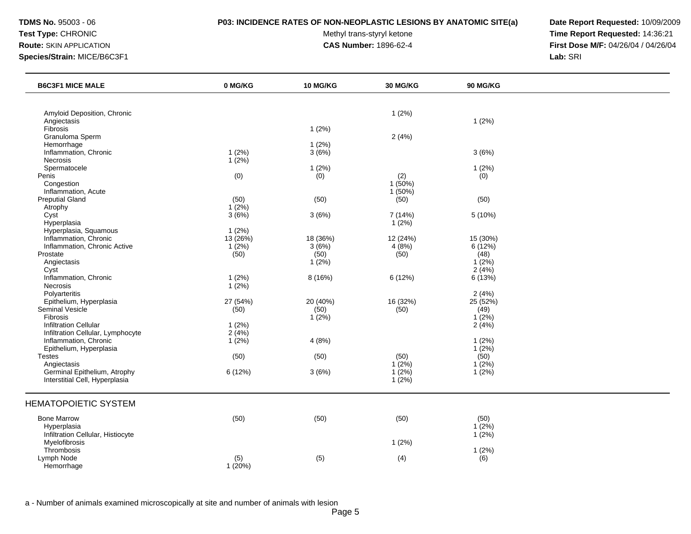### **TDMS No.** 95003 - 06 **P03: INCIDENCE RATES OF NON-NEOPLASTIC LESIONS BY ANATOMIC SITE(a) Date Report Requested:** 10/09/2009

Test Type: CHRONIC **Test Type:** CHRONIC **Test Type:** CHRONIC **Time Report Requested:** 14:36:21 **Route:** SKIN APPLICATION **CAS Number:** 1896-62-4 **First Dose M/F:** 04/26/04 / 04/26/04

| <b>B6C3F1 MICE MALE</b>                                           | 0 MG/KG              | <b>10 MG/KG</b>   | <b>30 MG/KG</b>   | <b>90 MG/KG</b>    |  |
|-------------------------------------------------------------------|----------------------|-------------------|-------------------|--------------------|--|
|                                                                   |                      |                   |                   |                    |  |
| Amyloid Deposition, Chronic<br>Angiectasis                        |                      |                   | 1(2%)             | 1(2%)              |  |
| <b>Fibrosis</b><br>Granuloma Sperm                                |                      | 1(2%)             | 2(4%)             |                    |  |
| Hemorrhage                                                        |                      | 1(2%)             |                   |                    |  |
| Inflammation, Chronic<br>Necrosis                                 | 1(2%)<br>$1(2\%)$    | 3(6%)             |                   | 3(6%)              |  |
| Spermatocele<br>Penis                                             | (0)                  | 1(2%)<br>(0)      | (2)               | 1(2%)<br>(0)       |  |
| Congestion<br>Inflammation, Acute                                 |                      |                   | 1(50%)<br>1(50%)  |                    |  |
| <b>Preputial Gland</b>                                            | (50)                 | (50)              | (50)              | (50)               |  |
| Atrophy<br>Cyst                                                   | $1(2\%)$<br>3(6%)    | 3(6%)             | 7 (14%)           | 5 (10%)            |  |
| Hyperplasia<br>Hyperplasia, Squamous                              | 1(2%)                |                   | 1(2%)             |                    |  |
| Inflammation, Chronic<br>Inflammation, Chronic Active             | 13 (26%)<br>$1(2\%)$ | 18 (36%)<br>3(6%) | 12 (24%)<br>4(8%) | 15 (30%)<br>6(12%) |  |
| Prostate<br>Angiectasis                                           | (50)                 | (50)<br>$1(2\%)$  | (50)              | (48)<br>1(2%)      |  |
| Cyst<br>Inflammation, Chronic                                     |                      |                   |                   | 2(4%)              |  |
| <b>Necrosis</b>                                                   | 1(2%)<br>1(2%)       | 8(16%)            | 6(12%)            | 6 (13%)            |  |
| Polyarteritis<br>Epithelium, Hyperplasia                          | 27 (54%)             | 20 (40%)          | 16 (32%)          | 2(4%)<br>25 (52%)  |  |
| Seminal Vesicle<br>Fibrosis                                       | (50)                 | (50)<br>1(2%)     | (50)              | (49)<br>1(2%)      |  |
| <b>Infiltration Cellular</b><br>Infiltration Cellular, Lymphocyte | 1(2%)<br>2(4%)       |                   |                   | 2(4%)              |  |
| Inflammation, Chronic<br>Epithelium, Hyperplasia                  | 1(2%)                | 4(8%)             |                   | 1(2%)<br>$1(2\%)$  |  |
| <b>Testes</b><br>Angiectasis                                      | (50)                 | (50)              | (50)<br>$1(2\%)$  | (50)<br>$1(2\%)$   |  |
| Germinal Epithelium, Atrophy<br>Interstitial Cell, Hyperplasia    | 6 (12%)              | 3(6%)             | 1(2%)<br>1(2%)    | $1(2\%)$           |  |
| <b>HEMATOPOIETIC SYSTEM</b>                                       |                      |                   |                   |                    |  |
| <b>Bone Marrow</b>                                                | (50)                 | (50)              | (50)              | (50)               |  |
| Hyperplasia<br>Infiltration Cellular, Histiocyte                  |                      |                   |                   | 1(2%)<br>$1(2\%)$  |  |
| Myelofibrosis<br>Thrombosis                                       |                      |                   | 1(2%)             | 1(2%)              |  |
| Lymph Node<br>Hemorrhage                                          | (5)<br>1(20%)        | (5)               | (4)               | (6)                |  |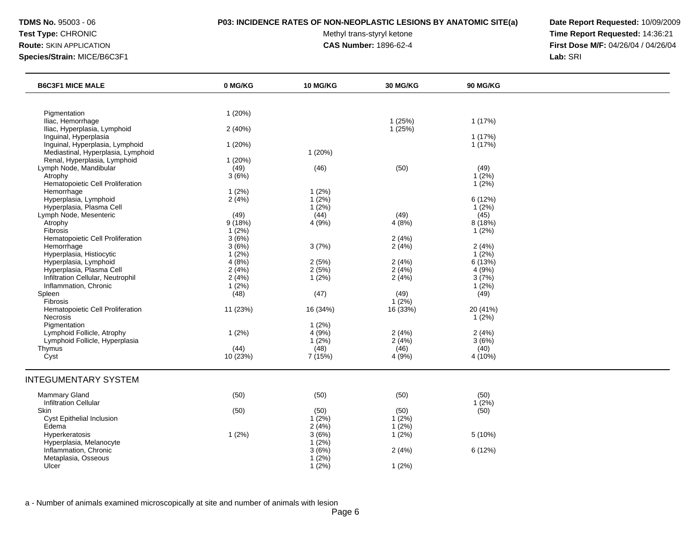### **TDMS No.** 95003 - 06 **P03: INCIDENCE RATES OF NON-NEOPLASTIC LESIONS BY ANATOMIC SITE(a) Date Report Requested:** 10/09/2009

Test Type: CHRONIC **Test Type:** CHRONIC **Test Type:** CHRONIC **Time Report Requested:** 14:36:21 **Route:** SKIN APPLICATION **CAS Number:** 1896-62-4 **First Dose M/F:** 04/26/04 / 04/26/04

| <b>B6C3F1 MICE MALE</b>            | 0 MG/KG  | <b>10 MG/KG</b> | <b>30 MG/KG</b> | <b>90 MG/KG</b> |  |
|------------------------------------|----------|-----------------|-----------------|-----------------|--|
|                                    |          |                 |                 |                 |  |
| Pigmentation                       | 1(20%)   |                 |                 |                 |  |
| Iliac, Hemorrhage                  |          |                 | 1(25%)          | 1 (17%)         |  |
| Iliac, Hyperplasia, Lymphoid       | 2(40%)   |                 | 1(25%)          |                 |  |
| Inguinal, Hyperplasia              |          |                 |                 | 1 (17%)         |  |
| Inguinal, Hyperplasia, Lymphoid    | 1(20%)   |                 |                 | 1 (17%)         |  |
| Mediastinal, Hyperplasia, Lymphoid |          | 1(20%)          |                 |                 |  |
| Renal, Hyperplasia, Lymphoid       | 1(20%)   |                 |                 |                 |  |
| Lymph Node, Mandibular             | (49)     | (46)            | (50)            | (49)            |  |
| Atrophy                            | 3(6%)    |                 |                 | $1(2\%)$        |  |
| Hematopoietic Cell Proliferation   |          |                 |                 | $1(2\%)$        |  |
| Hemorrhage                         | 1(2%)    | $1(2\%)$        |                 |                 |  |
| Hyperplasia, Lymphoid              | 2(4%)    | 1(2%)           |                 | 6 (12%)         |  |
| Hyperplasia, Plasma Cell           |          | 1(2%)           |                 | 1(2%)           |  |
| Lymph Node, Mesenteric             | (49)     | (44)            | (49)            | (45)            |  |
| Atrophy                            | 9(18%)   | 4 (9%)          | 4(8%)           | 8 (18%)         |  |
| Fibrosis                           | 1(2%)    |                 |                 | 1(2%)           |  |
| Hematopoietic Cell Proliferation   | 3(6%)    |                 | 2(4%)           |                 |  |
| Hemorrhage                         | 3(6%)    | 3(7%)           | 2(4%)           | 2(4%)           |  |
| Hyperplasia, Histiocytic           | 1(2%)    |                 |                 | 1(2%)           |  |
| Hyperplasia, Lymphoid              | 4(8%)    | 2(5%)           | 2(4%)           | 6(13%)          |  |
| Hyperplasia, Plasma Cell           | 2(4%)    | 2(5%)           | 2(4%)           | 4(9%)           |  |
| Infiltration Cellular, Neutrophil  | 2(4%)    | $1(2\%)$        | 2(4%)           | 3(7%)           |  |
| Inflammation, Chronic              | 1(2%)    |                 |                 | $1(2\%)$        |  |
| Spleen                             | (48)     | (47)            | (49)            | (49)            |  |
| Fibrosis                           |          |                 | $1(2\%)$        |                 |  |
| Hematopoietic Cell Proliferation   | 11 (23%) | 16 (34%)        | 16 (33%)        | 20 (41%)        |  |
| Necrosis                           |          |                 |                 | $1(2\%)$        |  |
| Pigmentation                       |          | $1(2\%)$        |                 |                 |  |
| Lymphoid Follicle, Atrophy         | 1(2%)    | 4 (9%)          | 2(4%)           | 2(4%)           |  |
| Lymphoid Follicle, Hyperplasia     |          | $1(2\%)$        | 2(4%)           | 3(6%)           |  |
| Thymus                             | (44)     | (48)            | (46)            | (40)            |  |
| Cyst                               | 10 (23%) | 7 (15%)         | 4 (9%)          | 4 (10%)         |  |
| <b>INTEGUMENTARY SYSTEM</b>        |          |                 |                 |                 |  |
| Mammary Gland                      | (50)     | (50)            | (50)            | (50)            |  |
| <b>Infiltration Cellular</b>       |          |                 |                 | $1(2\%)$        |  |
| Skin                               | (50)     | (50)            | (50)            | (50)            |  |
| Cyst Epithelial Inclusion          |          | $1(2\%)$        | $1(2\%)$        |                 |  |
| Edema                              |          | 2(4%)           | 1(2%)           |                 |  |
| Hyperkeratosis                     | 1(2%)    | 3(6%)           | 1(2%)           | 5 (10%)         |  |
| Hyperplasia, Melanocyte            |          | $1(2\%)$        |                 |                 |  |
| Inflammation, Chronic              |          | 3(6%)           | 2(4%)           | 6 (12%)         |  |
| Metaplasia, Osseous                |          | $1(2\%)$        |                 |                 |  |
| Ulcer                              |          | 1(2%)           | 1(2%)           |                 |  |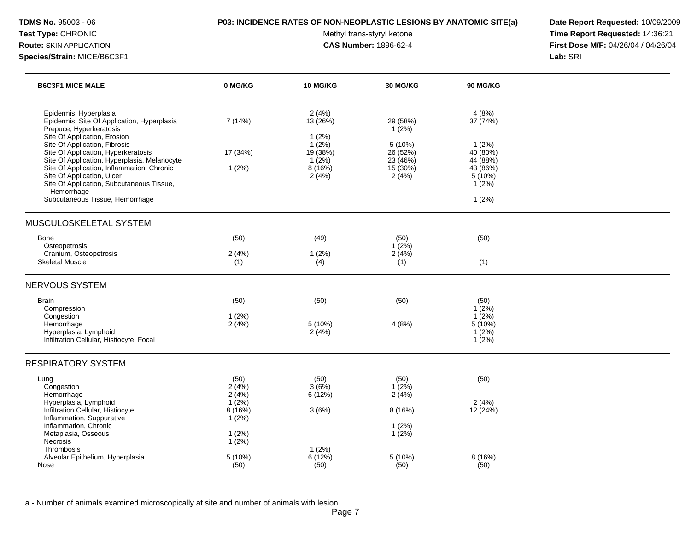### **TDMS No.** 95003 - 06 **P03: INCIDENCE RATES OF NON-NEOPLASTIC LESIONS BY ANATOMIC SITE(a) Date Report Requested:** 10/09/2009

Test Type: CHRONIC **Test Type:** CHRONIC **Test Type:** CHRONIC **Time Report Requested:** 14:36:21 **Route:** SKIN APPLICATION **CAS Number:** 1896-62-4 **First Dose M/F:** 04/26/04 / 04/26/04

| <b>B6C3F1 MICE MALE</b>                                                                                                                                                                                                                                  | 0 MG/KG                                                | 10 MG/KG                                                       | <b>30 MG/KG</b>                                     | <b>90 MG/KG</b>                                    |  |
|----------------------------------------------------------------------------------------------------------------------------------------------------------------------------------------------------------------------------------------------------------|--------------------------------------------------------|----------------------------------------------------------------|-----------------------------------------------------|----------------------------------------------------|--|
| Epidermis, Hyperplasia<br>Epidermis, Site Of Application, Hyperplasia<br>Prepuce, Hyperkeratosis<br>Site Of Application, Erosion<br>Site Of Application, Fibrosis<br>Site Of Application, Hyperkeratosis<br>Site Of Application, Hyperplasia, Melanocyte | 7 (14%)<br>17 (34%)                                    | 2(4%)<br>13 (26%)<br>1(2%)<br>$1(2\%)$<br>19 (38%)<br>$1(2\%)$ | 29 (58%)<br>1(2%)<br>5(10%)<br>26 (52%)<br>23 (46%) | 4(8%)<br>37 (74%)<br>1(2%)<br>40 (80%)<br>44 (88%) |  |
| Site Of Application, Inflammation, Chronic<br>Site Of Application, Ulcer<br>Site Of Application, Subcutaneous Tissue,<br>Hemorrhage                                                                                                                      | 1(2%)                                                  | 8(16%)<br>2(4%)                                                | $15(30\%)$<br>2(4%)                                 | 43 (86%)<br>5 (10%)<br>1(2%)                       |  |
| Subcutaneous Tissue, Hemorrhage                                                                                                                                                                                                                          |                                                        |                                                                |                                                     | 1(2%)                                              |  |
| MUSCULOSKELETAL SYSTEM                                                                                                                                                                                                                                   |                                                        |                                                                |                                                     |                                                    |  |
| Bone<br>Osteopetrosis<br>Cranium, Osteopetrosis                                                                                                                                                                                                          | (50)<br>2(4%)                                          | (49)<br>1(2%)                                                  | (50)<br>1(2%)<br>2(4%)                              | (50)                                               |  |
| <b>Skeletal Muscle</b>                                                                                                                                                                                                                                   | (1)                                                    | (4)                                                            | (1)                                                 | (1)                                                |  |
| NERVOUS SYSTEM                                                                                                                                                                                                                                           |                                                        |                                                                |                                                     |                                                    |  |
| <b>Brain</b><br>Compression<br>Congestion                                                                                                                                                                                                                | (50)<br>1(2%)                                          | (50)                                                           | (50)                                                | (50)<br>$1(2\%)$<br>1(2%)                          |  |
| Hemorrhage<br>Hyperplasia, Lymphoid<br>Infiltration Cellular, Histiocyte, Focal                                                                                                                                                                          | 2(4%)                                                  | 5(10%)<br>2(4%)                                                | 4(8%)                                               | 5 (10%)<br>1(2%)<br>1(2%)                          |  |
| <b>RESPIRATORY SYSTEM</b>                                                                                                                                                                                                                                |                                                        |                                                                |                                                     |                                                    |  |
| Lung<br>Congestion<br>Hemorrhage<br>Hyperplasia, Lymphoid<br>Infiltration Cellular, Histiocyte<br>Inflammation, Suppurative                                                                                                                              | (50)<br>2(4%)<br>2(4%)<br>$1(2\%)$<br>8 (16%)<br>1(2%) | (50)<br>3(6%)<br>6(12%)<br>3(6%)                               | (50)<br>1(2%)<br>2(4%)<br>8 (16%)                   | (50)<br>2(4%)<br>12 (24%)                          |  |
| Inflammation, Chronic<br>Metaplasia, Osseous<br>Necrosis                                                                                                                                                                                                 | 1(2%)<br>$1(2\%)$                                      |                                                                | 1(2%)<br>1(2%)                                      |                                                    |  |
| Thrombosis<br>Alveolar Epithelium, Hyperplasia<br>Nose                                                                                                                                                                                                   | $5(10\%)$<br>(50)                                      | 1(2%)<br>6(12%)<br>(50)                                        | 5 (10%)<br>(50)                                     | 8 (16%)<br>(50)                                    |  |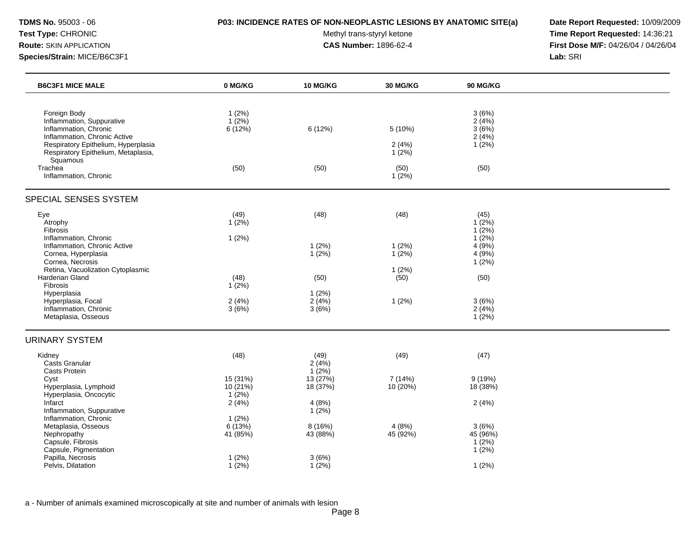### **TDMS No.** 95003 - 06 **P03: INCIDENCE RATES OF NON-NEOPLASTIC LESIONS BY ANATOMIC SITE(a) Date Report Requested:** 10/09/2009

Test Type: CHRONIC **Test Type:** CHRONIC **Test Type:** CHRONIC **Time Report Requested:** 14:36:21 **Route:** SKIN APPLICATION **CAS Number:** 1896-62-4 **First Dose M/F:** 04/26/04 / 04/26/04

| <b>B6C3F1 MICE MALE</b>                                                                                                    | 0 MG/KG                          | <b>10 MG/KG</b>           | <b>30 MG/KG</b>                 | <b>90 MG/KG</b>                          |  |
|----------------------------------------------------------------------------------------------------------------------------|----------------------------------|---------------------------|---------------------------------|------------------------------------------|--|
| Foreign Body<br>Inflammation, Suppurative<br>Inflammation, Chronic<br>Inflammation, Chronic Active                         | 1(2%)<br>$1(2\%)$<br>6(12%)      | 6(12%)                    | 5 (10%)                         | 3(6%)<br>2(4%)<br>3(6%)<br>2(4%)         |  |
| Respiratory Epithelium, Hyperplasia<br>Respiratory Epithelium, Metaplasia,<br>Squamous<br>Trachea<br>Inflammation, Chronic | (50)                             | (50)                      | 2(4%)<br>1(2%)<br>(50)<br>1(2%) | $1(2\%)$<br>(50)                         |  |
| SPECIAL SENSES SYSTEM                                                                                                      |                                  |                           |                                 |                                          |  |
| Eye<br>Atrophy<br>Fibrosis<br>Inflammation, Chronic                                                                        | (49)<br>$1(2\%)$                 | (48)                      | (48)                            | (45)<br>$1(2\%)$<br>$1(2\%)$<br>$1(2\%)$ |  |
| Inflammation, Chronic Active<br>Cornea, Hyperplasia<br>Cornea, Necrosis                                                    | 1(2%)                            | 1(2%)<br>$1(2\%)$         | 1(2%)<br>1(2%)                  | 4(9%)<br>4(9%)<br>$1(2\%)$               |  |
| Retina, Vacuolization Cytoplasmic<br>Harderian Gland<br>Fibrosis                                                           | (48)<br>$1(2\%)$                 | (50)                      | 1(2%)<br>(50)                   | (50)                                     |  |
| Hyperplasia<br>Hyperplasia, Focal<br>Inflammation, Chronic<br>Metaplasia, Osseous                                          | 2(4%)<br>3(6%)                   | 1(2%)<br>2(4%)<br>3(6%)   | 1(2%)                           | 3(6%)<br>2(4%)<br>$1(2\%)$               |  |
| <b>URINARY SYSTEM</b>                                                                                                      |                                  |                           |                                 |                                          |  |
| Kidney<br>Casts Granular<br><b>Casts Protein</b>                                                                           | (48)                             | (49)<br>2(4%)<br>$1(2\%)$ | (49)                            | (47)                                     |  |
| Cyst<br>Hyperplasia, Lymphoid<br>Hyperplasia, Oncocytic                                                                    | 15 (31%)<br>10 (21%)<br>$1(2\%)$ | 13(27%)<br>18 (37%)       | 7 (14%)<br>10 (20%)             | 9(19%)<br>18 (38%)                       |  |
| Infarct<br>Inflammation, Suppurative<br>Inflammation, Chronic                                                              | 2(4%)<br>1(2%)                   | 4(8%)<br>1(2%)            |                                 | 2(4%)                                    |  |
| Metaplasia, Osseous<br>Nephropathy<br>Capsule, Fibrosis<br>Capsule, Pigmentation                                           | 6(13%)<br>41 (85%)               | 8(16%)<br>43 (88%)        | 4(8%)<br>45 (92%)               | 3(6%)<br>45 (96%)<br>1(2%)<br>$1(2\%)$   |  |
| Papilla, Necrosis<br>Pelvis, Dilatation                                                                                    | 1(2%)<br>1(2%)                   | 3(6%)<br>1(2%)            |                                 | 1(2%)                                    |  |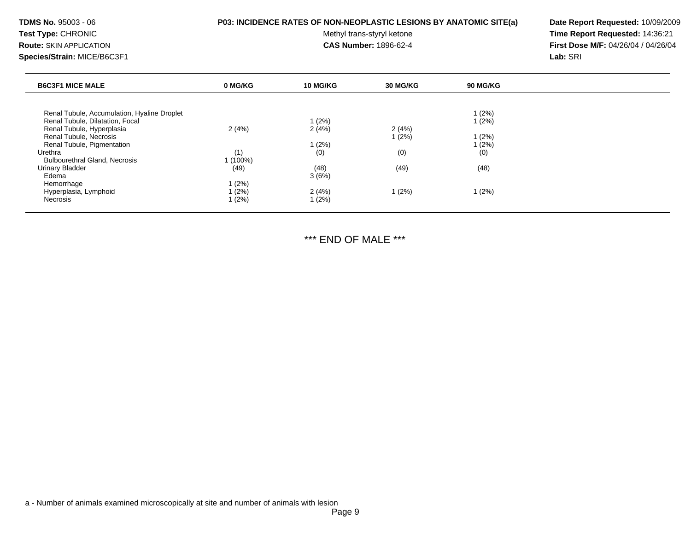Test Type: CHRONIC **Test Type:** CHRONIC **Test Type:** CHRONIC **Time Report Requested:** 14:36:21 **Route:** SKIN APPLICATION **CAS Number:** 1896-62-4 **First Dose M/F:** 04/26/04 / 04/26/04 **Species/Strain:** MICE/B6C3F1 **Lab:** SRI

| <b>B6C3F1 MICE MALE</b><br>0 MG/KG<br><b>10 MG/KG</b><br>30 MG/KG<br>90 MG/KG |
|-------------------------------------------------------------------------------|
|                                                                               |
| l (2%)<br>Renal Tubule, Accumulation, Hyaline Droplet                         |
| Renal Tubule, Dilatation, Focal<br>1(2%)<br>1(2%)                             |
| 2(4%)<br>2(4%)<br>2(4%)<br>Renal Tubule, Hyperplasia                          |
| 1(2%)<br>Renal Tubule, Necrosis<br>1(2%)                                      |
| 1(2%)<br>(2%)<br>Renal Tubule, Pigmentation                                   |
| (0)<br>(0)<br>(0)<br>(1)<br>Urethra                                           |
| 1 (100%)<br><b>Bulbourethral Gland, Necrosis</b>                              |
| (49)<br>(48)<br>(49)<br>(48)<br><b>Urinary Bladder</b>                        |
| 3(6%)<br>Edema                                                                |
| 1 (2%)<br>Hemorrhage                                                          |
| 2(4%)<br>1(2%)<br>Hyperplasia, Lymphoid<br>1(2%)<br>l (2%)                    |
| 1(2%)<br>1(2%)<br>Necrosis                                                    |

\*\*\* END OF MALE \*\*\*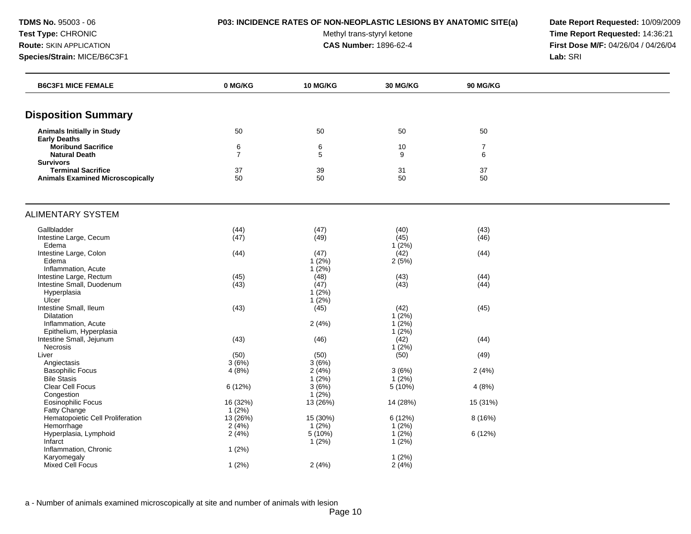**TDMS No.** 95003 - 06 **P03: INCIDENCE RATES OF NON-NEOPLASTIC LESIONS BY ANATOMIC SITE(a) Date Report Requested:** 10/09/2009

Test Type: CHRONIC **Test Type:** CHRONIC **Test Type:** CHRONIC **Time Report Requested:** 14:36:21 **Route:** SKIN APPLICATION **CAS Number:** 1896-62-4 **First Dose M/F:** 04/26/04 / 04/26/04

| <b>Disposition Summary</b><br><b>Animals Initially in Study</b><br>50<br>50<br>50<br>50<br><b>Early Deaths</b><br><b>Moribund Sacrifice</b><br>6<br>6<br>10<br>7<br>$\overline{7}$<br>5<br>9<br>6<br><b>Natural Death</b><br><b>Survivors</b><br><b>Terminal Sacrifice</b><br>37<br>39<br>31<br>37<br>50<br>50<br>50<br><b>Animals Examined Microscopically</b><br>50<br><b>ALIMENTARY SYSTEM</b><br>Gallbladder<br>(44)<br>(47)<br>(43)<br>(40)<br>(47)<br>(45)<br>(46)<br>Intestine Large, Cecum<br>(49)<br>Edema<br>$1(2\%)$<br>Intestine Large, Colon<br>(44)<br>(47)<br>(42)<br>(44)<br>Edema<br>$1(2\%)$<br>2(5%)<br>Inflammation, Acute<br>$1(2\%)$<br>Intestine Large, Rectum<br>(45)<br>(43)<br>(48)<br>(44)<br>(44)<br>(43)<br>Intestine Small, Duodenum<br>(43)<br>(47)<br>Hyperplasia<br>$1(2\%)$<br>Ulcer<br>1(2%) |  |
|---------------------------------------------------------------------------------------------------------------------------------------------------------------------------------------------------------------------------------------------------------------------------------------------------------------------------------------------------------------------------------------------------------------------------------------------------------------------------------------------------------------------------------------------------------------------------------------------------------------------------------------------------------------------------------------------------------------------------------------------------------------------------------------------------------------------------------|--|
|                                                                                                                                                                                                                                                                                                                                                                                                                                                                                                                                                                                                                                                                                                                                                                                                                                 |  |
|                                                                                                                                                                                                                                                                                                                                                                                                                                                                                                                                                                                                                                                                                                                                                                                                                                 |  |
|                                                                                                                                                                                                                                                                                                                                                                                                                                                                                                                                                                                                                                                                                                                                                                                                                                 |  |
|                                                                                                                                                                                                                                                                                                                                                                                                                                                                                                                                                                                                                                                                                                                                                                                                                                 |  |
|                                                                                                                                                                                                                                                                                                                                                                                                                                                                                                                                                                                                                                                                                                                                                                                                                                 |  |
|                                                                                                                                                                                                                                                                                                                                                                                                                                                                                                                                                                                                                                                                                                                                                                                                                                 |  |
|                                                                                                                                                                                                                                                                                                                                                                                                                                                                                                                                                                                                                                                                                                                                                                                                                                 |  |
|                                                                                                                                                                                                                                                                                                                                                                                                                                                                                                                                                                                                                                                                                                                                                                                                                                 |  |
|                                                                                                                                                                                                                                                                                                                                                                                                                                                                                                                                                                                                                                                                                                                                                                                                                                 |  |
|                                                                                                                                                                                                                                                                                                                                                                                                                                                                                                                                                                                                                                                                                                                                                                                                                                 |  |
|                                                                                                                                                                                                                                                                                                                                                                                                                                                                                                                                                                                                                                                                                                                                                                                                                                 |  |
|                                                                                                                                                                                                                                                                                                                                                                                                                                                                                                                                                                                                                                                                                                                                                                                                                                 |  |
|                                                                                                                                                                                                                                                                                                                                                                                                                                                                                                                                                                                                                                                                                                                                                                                                                                 |  |
|                                                                                                                                                                                                                                                                                                                                                                                                                                                                                                                                                                                                                                                                                                                                                                                                                                 |  |
|                                                                                                                                                                                                                                                                                                                                                                                                                                                                                                                                                                                                                                                                                                                                                                                                                                 |  |
|                                                                                                                                                                                                                                                                                                                                                                                                                                                                                                                                                                                                                                                                                                                                                                                                                                 |  |
|                                                                                                                                                                                                                                                                                                                                                                                                                                                                                                                                                                                                                                                                                                                                                                                                                                 |  |
|                                                                                                                                                                                                                                                                                                                                                                                                                                                                                                                                                                                                                                                                                                                                                                                                                                 |  |
| Intestine Small, Ileum<br>(43)<br>(45)<br>(45)<br>(42)                                                                                                                                                                                                                                                                                                                                                                                                                                                                                                                                                                                                                                                                                                                                                                          |  |
| Dilatation<br>$1(2\%)$                                                                                                                                                                                                                                                                                                                                                                                                                                                                                                                                                                                                                                                                                                                                                                                                          |  |
| 2(4%)<br>$1(2\%)$<br>Inflammation, Acute<br>Epithelium, Hyperplasia<br>1(2%)                                                                                                                                                                                                                                                                                                                                                                                                                                                                                                                                                                                                                                                                                                                                                    |  |
| Intestine Small, Jejunum<br>(43)<br>(42)<br>(44)<br>(46)                                                                                                                                                                                                                                                                                                                                                                                                                                                                                                                                                                                                                                                                                                                                                                        |  |
| $1(2\%)$<br>Necrosis                                                                                                                                                                                                                                                                                                                                                                                                                                                                                                                                                                                                                                                                                                                                                                                                            |  |
| (50)<br>(49)<br>(50)<br>(50)<br>Liver                                                                                                                                                                                                                                                                                                                                                                                                                                                                                                                                                                                                                                                                                                                                                                                           |  |
| 3(6%)<br>3(6%)<br>Angiectasis                                                                                                                                                                                                                                                                                                                                                                                                                                                                                                                                                                                                                                                                                                                                                                                                   |  |
| <b>Basophilic Focus</b><br>4(8%)<br>2(4%)<br>3(6%)<br>2(4%)                                                                                                                                                                                                                                                                                                                                                                                                                                                                                                                                                                                                                                                                                                                                                                     |  |
| $1(2\%)$<br>$1(2\%)$<br><b>Bile Stasis</b>                                                                                                                                                                                                                                                                                                                                                                                                                                                                                                                                                                                                                                                                                                                                                                                      |  |
| 3(6%)<br>Clear Cell Focus<br>6 (12%)<br>5 (10%)<br>4(8%)                                                                                                                                                                                                                                                                                                                                                                                                                                                                                                                                                                                                                                                                                                                                                                        |  |
| $1(2\%)$<br>Congestion                                                                                                                                                                                                                                                                                                                                                                                                                                                                                                                                                                                                                                                                                                                                                                                                          |  |
| 16 (32%)<br>13(26%)<br>Eosinophilic Focus<br>14 (28%)<br>15 (31%)                                                                                                                                                                                                                                                                                                                                                                                                                                                                                                                                                                                                                                                                                                                                                               |  |
| 1(2%)<br>Fatty Change                                                                                                                                                                                                                                                                                                                                                                                                                                                                                                                                                                                                                                                                                                                                                                                                           |  |
| Hematopoietic Cell Proliferation<br>13 (26%)<br>15 (30%)<br>6 (12%)<br>8(16%)                                                                                                                                                                                                                                                                                                                                                                                                                                                                                                                                                                                                                                                                                                                                                   |  |
| $1(2\%)$<br>2(4%)<br>1(2%)<br>Hemorrhage                                                                                                                                                                                                                                                                                                                                                                                                                                                                                                                                                                                                                                                                                                                                                                                        |  |
| 2(4%)<br>5 (10%)<br>1(2%)<br>6 (12%)<br>Hyperplasia, Lymphoid                                                                                                                                                                                                                                                                                                                                                                                                                                                                                                                                                                                                                                                                                                                                                                   |  |
| 1(2%)<br>1(2%)<br>Infarct                                                                                                                                                                                                                                                                                                                                                                                                                                                                                                                                                                                                                                                                                                                                                                                                       |  |
| Inflammation, Chronic<br>1(2%)<br>Karyomegaly<br>1(2%)                                                                                                                                                                                                                                                                                                                                                                                                                                                                                                                                                                                                                                                                                                                                                                          |  |
| <b>Mixed Cell Focus</b><br>2(4%)<br>2(4%)<br>1(2%)                                                                                                                                                                                                                                                                                                                                                                                                                                                                                                                                                                                                                                                                                                                                                                              |  |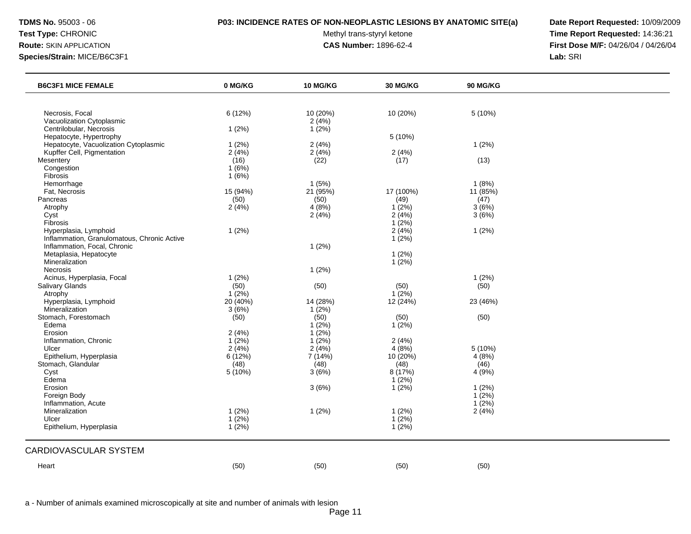### **TDMS No.** 95003 - 06 **P03: INCIDENCE RATES OF NON-NEOPLASTIC LESIONS BY ANATOMIC SITE(a) Date Report Requested:** 10/09/2009

Test Type: CHRONIC **Test Type:** CHRONIC **Test Type:** CHRONIC **Time Report Requested:** 14:36:21 **Route:** SKIN APPLICATION **CAS Number:** 1896-62-4 **First Dose M/F:** 04/26/04 / 04/26/04

| <b>B6C3F1 MICE FEMALE</b>                   | 0 MG/KG    | <b>10 MG/KG</b> | <b>30 MG/KG</b> | 90 MG/KG |  |
|---------------------------------------------|------------|-----------------|-----------------|----------|--|
|                                             |            |                 |                 |          |  |
| Necrosis, Focal                             | 6 (12%)    | 10 (20%)        | 10 (20%)        | 5 (10%)  |  |
| Vacuolization Cytoplasmic                   |            | 2(4%)           |                 |          |  |
| Centrilobular, Necrosis                     | 1(2%)      | 1(2%)           |                 |          |  |
| Hepatocyte, Hypertrophy                     |            |                 | 5 (10%)         |          |  |
| Hepatocyte, Vacuolization Cytoplasmic       | 1(2%)      | 2(4%)           |                 | 1(2%)    |  |
| Kupffer Cell, Pigmentation                  | 2(4%)      | 2(4%)           | 2(4%)           |          |  |
| Mesentery                                   | (16)       | (22)            | (17)            | (13)     |  |
| Congestion                                  | 1(6%)      |                 |                 |          |  |
| Fibrosis                                    | 1(6%)      |                 |                 |          |  |
| Hemorrhage                                  |            | 1(5%)           |                 | 1(8%)    |  |
| Fat, Necrosis                               | 15 (94%)   | 21 (95%)        | 17 (100%)       | 11 (85%) |  |
| Pancreas                                    | (50)       | (50)            | (49)            | (47)     |  |
| Atrophy                                     | 2(4%)      | 4(8%)           | $1(2\%)$        | 3(6%)    |  |
| Cyst                                        |            | 2(4%)           | 2(4%)           | 3(6%)    |  |
| Fibrosis                                    |            |                 | $1(2\%)$        |          |  |
| Hyperplasia, Lymphoid                       | 1(2%)      |                 | 2(4%)           | 1(2%)    |  |
| Inflammation, Granulomatous, Chronic Active |            |                 | 1(2%)           |          |  |
| Inflammation, Focal, Chronic                |            | 1(2%)           |                 |          |  |
| Metaplasia, Hepatocyte                      |            |                 | 1(2%)           |          |  |
| Mineralization                              |            |                 | 1(2%)           |          |  |
| <b>Necrosis</b>                             |            | 1(2%)           |                 |          |  |
| Acinus, Hyperplasia, Focal                  | 1(2%)      |                 |                 | 1(2%)    |  |
| Salivary Glands                             | (50)       | (50)            | (50)            | (50)     |  |
| Atrophy                                     | $1(2\%)$   |                 | $1(2\%)$        |          |  |
| Hyperplasia, Lymphoid                       | $20(40\%)$ | 14 (28%)        | 12 (24%)        | 23 (46%) |  |
| Mineralization                              | 3(6%)      | 1(2%)           |                 |          |  |
| Stomach, Forestomach                        | (50)       | (50)            | (50)            | (50)     |  |
| Edema                                       |            | $1(2\%)$        | $1(2\%)$        |          |  |
| Erosion                                     | 2(4%)      | 1(2%)           |                 |          |  |
| Inflammation, Chronic                       | $1(2\%)$   | $1(2\%)$        | 2(4%)           |          |  |
| Ulcer                                       | 2(4%)      | 2(4%)           | 4(8%)           | 5 (10%)  |  |
| Epithelium, Hyperplasia                     | 6(12%)     | 7(14%)          | $10(20\%)$      | 4(8%)    |  |
| Stomach, Glandular                          | (48)       | (48)            | (48)            | (46)     |  |
| Cyst                                        | 5 (10%)    | 3(6%)           | 8 (17%)         | 4 (9%)   |  |
| Edema                                       |            |                 | 1(2%)           |          |  |
| Erosion                                     |            | 3(6%)           | 1(2%)           | 1(2%)    |  |
| Foreign Body                                |            |                 |                 | 1(2%)    |  |
| Inflammation, Acute                         |            |                 |                 | 1(2%)    |  |
| Mineralization                              | 1(2%)      | 1(2%)           | 1(2%)           | 2(4%)    |  |
| Ulcer                                       | $1(2\%)$   |                 | $1(2\%)$        |          |  |
| Epithelium, Hyperplasia                     | 1(2%)      |                 | 1(2%)           |          |  |
|                                             |            |                 |                 |          |  |
| CARDIOVASCULAR SYSTEM                       |            |                 |                 |          |  |
| Heart                                       | (50)       | (50)            | (50)            | (50)     |  |
|                                             |            |                 |                 |          |  |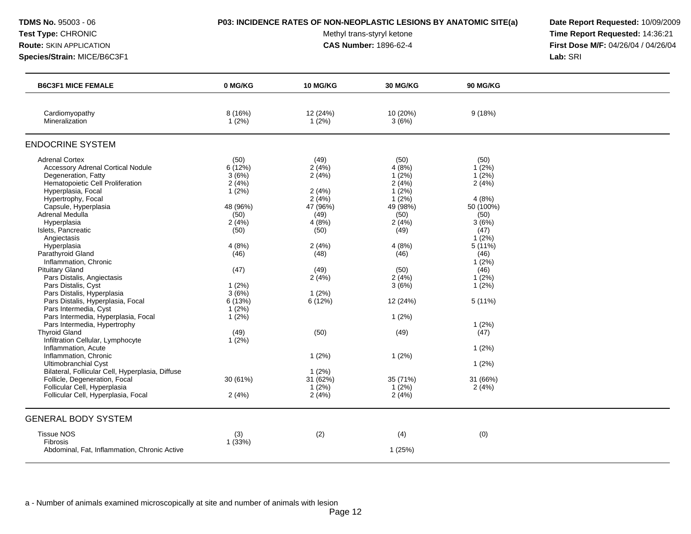Test Type: CHRONIC **Test Type:** CHRONIC **Test Type:** CHRONIC **Time Report Requested:** 14:36:21 **Route:** SKIN APPLICATION **CAS Number:** 1896-62-4 **First Dose M/F:** 04/26/04 / 04/26/04 **Species/Strain:** MICE/B6C3F1 **Lab:** SRI

| <b>B6C3F1 MICE FEMALE</b>                                                                                                                                                                                                                                                                                                                                                                                                                                                                                                                                                                                                                                                                                                                                                              | 0 MG/KG                                                                                                                                                                   | 10 MG/KG                                                                                                                                                           | 30 MG/KG                                                                                                                                                                         | <b>90 MG/KG</b>                                                                                                                                                                                       |  |
|----------------------------------------------------------------------------------------------------------------------------------------------------------------------------------------------------------------------------------------------------------------------------------------------------------------------------------------------------------------------------------------------------------------------------------------------------------------------------------------------------------------------------------------------------------------------------------------------------------------------------------------------------------------------------------------------------------------------------------------------------------------------------------------|---------------------------------------------------------------------------------------------------------------------------------------------------------------------------|--------------------------------------------------------------------------------------------------------------------------------------------------------------------|----------------------------------------------------------------------------------------------------------------------------------------------------------------------------------|-------------------------------------------------------------------------------------------------------------------------------------------------------------------------------------------------------|--|
| Cardiomyopathy<br>Mineralization                                                                                                                                                                                                                                                                                                                                                                                                                                                                                                                                                                                                                                                                                                                                                       | 8(16%)<br>1(2%)                                                                                                                                                           | 12 (24%)<br>1(2%)                                                                                                                                                  | 10 (20%)<br>3(6%)                                                                                                                                                                | 9(18%)                                                                                                                                                                                                |  |
| <b>ENDOCRINE SYSTEM</b>                                                                                                                                                                                                                                                                                                                                                                                                                                                                                                                                                                                                                                                                                                                                                                |                                                                                                                                                                           |                                                                                                                                                                    |                                                                                                                                                                                  |                                                                                                                                                                                                       |  |
| <b>Adrenal Cortex</b><br><b>Accessory Adrenal Cortical Nodule</b><br>Degeneration, Fatty<br>Hematopoietic Cell Proliferation<br>Hyperplasia, Focal<br>Hypertrophy, Focal<br>Capsule, Hyperplasia<br>Adrenal Medulla<br>Hyperplasia<br>Islets, Pancreatic<br>Angiectasis<br>Hyperplasia<br>Parathyroid Gland<br>Inflammation, Chronic<br><b>Pituitary Gland</b><br>Pars Distalis, Angiectasis<br>Pars Distalis, Cyst<br>Pars Distalis, Hyperplasia<br>Pars Distalis, Hyperplasia, Focal<br>Pars Intermedia, Cyst<br>Pars Intermedia, Hyperplasia, Focal<br>Pars Intermedia, Hypertrophy<br><b>Thyroid Gland</b><br>Infiltration Cellular, Lymphocyte<br>Inflammation, Acute<br>Inflammation, Chronic<br><b>Ultimobranchial Cyst</b><br>Bilateral, Follicular Cell, Hyperplasia, Diffuse | (50)<br>6(12%)<br>3(6%)<br>2(4%)<br>$1(2\%)$<br>48 (96%)<br>(50)<br>2(4%)<br>(50)<br>4(8%)<br>(46)<br>(47)<br>1(2%)<br>3(6%)<br>6(13%)<br>1(2%)<br>1(2%)<br>(49)<br>1(2%) | (49)<br>2(4%)<br>2(4%)<br>2(4%)<br>2(4%)<br>47 (96%)<br>(49)<br>4(8%)<br>(50)<br>2(4%)<br>(48)<br>(49)<br>2(4%)<br>$1(2\%)$<br>6(12%)<br>(50)<br>$1(2\%)$<br>1(2%) | (50)<br>4(8%)<br>$1(2\%)$<br>2(4%)<br>$1(2\%)$<br>$1(2\%)$<br>49 (98%)<br>(50)<br>2(4%)<br>(49)<br>4(8%)<br>(46)<br>(50)<br>2(4%)<br>3(6%)<br>12 (24%)<br>1(2%)<br>(49)<br>1(2%) | (50)<br>1(2%)<br>$1(2\%)$<br>2(4%)<br>4(8%)<br>50 (100%)<br>(50)<br>3(6%)<br>(47)<br>$1(2\%)$<br>5(11%)<br>(46)<br>$1(2\%)$<br>(46)<br>1(2%)<br>$1(2\%)$<br>5(11%)<br>1(2%)<br>(47)<br>1(2%)<br>1(2%) |  |
| Follicle, Degeneration, Focal<br>Follicular Cell, Hyperplasia<br>Follicular Cell, Hyperplasia, Focal                                                                                                                                                                                                                                                                                                                                                                                                                                                                                                                                                                                                                                                                                   | 30 (61%)<br>2(4%)                                                                                                                                                         | 31(62%)<br>$1(2\%)$<br>2(4%)                                                                                                                                       | 35 (71%)<br>1(2%)<br>2(4%)                                                                                                                                                       | 31 (66%)<br>2(4%)                                                                                                                                                                                     |  |
| <b>GENERAL BODY SYSTEM</b>                                                                                                                                                                                                                                                                                                                                                                                                                                                                                                                                                                                                                                                                                                                                                             |                                                                                                                                                                           |                                                                                                                                                                    |                                                                                                                                                                                  |                                                                                                                                                                                                       |  |
| <b>Tissue NOS</b><br>Fibrosis<br>Abdominal, Fat, Inflammation, Chronic Active                                                                                                                                                                                                                                                                                                                                                                                                                                                                                                                                                                                                                                                                                                          | (3)<br>1(33%)                                                                                                                                                             | (2)                                                                                                                                                                | (4)<br>1(25%)                                                                                                                                                                    | (0)                                                                                                                                                                                                   |  |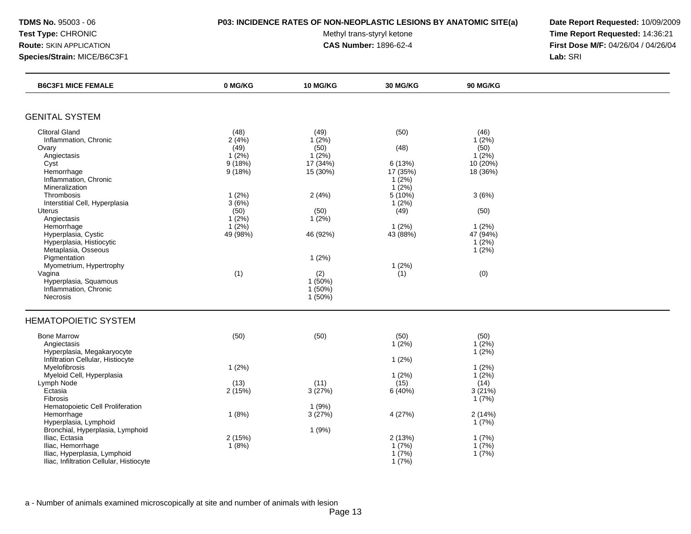### **TDMS No.** 95003 - 06 **P03: INCIDENCE RATES OF NON-NEOPLASTIC LESIONS BY ANATOMIC SITE(a) Date Report Requested:** 10/09/2009

Test Type: CHRONIC **Test Type:** CHRONIC **Test Type:** CHRONIC **Time Report Requested:** 14:36:21 **Route:** SKIN APPLICATION **CAS Number:** 1896-62-4 **First Dose M/F:** 04/26/04 / 04/26/04

| <b>B6C3F1 MICE FEMALE</b>                | 0 MG/KG  | 10 MG/KG  | 30 MG/KG | <b>90 MG/KG</b> |  |
|------------------------------------------|----------|-----------|----------|-----------------|--|
|                                          |          |           |          |                 |  |
| <b>GENITAL SYSTEM</b>                    |          |           |          |                 |  |
| <b>Clitoral Gland</b>                    | (48)     | (49)      | (50)     | (46)            |  |
| Inflammation, Chronic                    | 2(4%)    | 1(2%)     |          | $1(2\%)$        |  |
| Ovary                                    | (49)     | (50)      | (48)     | (50)            |  |
| Angiectasis                              | $1(2\%)$ | $1(2\%)$  |          | $1(2\%)$        |  |
| Cyst                                     | 9(18%)   | 17(34%)   | 6(13%)   | 10 (20%)        |  |
| Hemorrhage                               | 9(18%)   | 15 (30%)  | 17 (35%) | 18 (36%)        |  |
| Inflammation, Chronic                    |          |           | 1(2%)    |                 |  |
| Mineralization                           |          |           | $1(2\%)$ |                 |  |
| Thrombosis                               | 1(2%)    | 2(4%)     | 5 (10%)  | 3(6%)           |  |
| Interstitial Cell, Hyperplasia           | 3(6%)    |           | 1(2%)    |                 |  |
| <b>Uterus</b>                            | (50)     | (50)      | (49)     | (50)            |  |
| Angiectasis                              | $1(2\%)$ | $1(2\%)$  |          |                 |  |
| Hemorrhage                               | $1(2\%)$ |           | 1(2%)    | 1(2%)           |  |
| Hyperplasia, Cystic                      | 49 (98%) | 46 (92%)  | 43 (88%) | 47 (94%)        |  |
| Hyperplasia, Histiocytic                 |          |           |          | 1(2%)           |  |
| Metaplasia, Osseous                      |          |           |          | $1(2\%)$        |  |
| Pigmentation                             |          | 1(2%)     |          |                 |  |
| Myometrium, Hypertrophy                  |          |           | 1(2%)    |                 |  |
| Vagina                                   | (1)      | (2)       | (1)      | (0)             |  |
| Hyperplasia, Squamous                    |          | $1(50\%)$ |          |                 |  |
| Inflammation, Chronic                    |          | 1(50%)    |          |                 |  |
| Necrosis                                 |          | 1(50%)    |          |                 |  |
| <b>HEMATOPOIETIC SYSTEM</b>              |          |           |          |                 |  |
| <b>Bone Marrow</b>                       | (50)     | (50)      | (50)     | (50)            |  |
| Angiectasis                              |          |           | $1(2\%)$ | $1(2\%)$        |  |
| Hyperplasia, Megakaryocyte               |          |           |          | $1(2\%)$        |  |
| Infiltration Cellular, Histiocyte        |          |           | 1(2%)    |                 |  |
| Myelofibrosis                            | 1(2%)    |           |          | 1(2%)           |  |
| Myeloid Cell, Hyperplasia                |          |           | 1(2%)    | 1(2%)           |  |
| Lymph Node                               | (13)     | (11)      | (15)     | (14)            |  |
| Ectasia                                  | 2(15%)   | 3(27%)    | 6(40%)   | 3(21%)          |  |
| Fibrosis                                 |          |           |          | 1(7%)           |  |
| Hematopoietic Cell Proliferation         |          | 1(9%)     |          |                 |  |
| Hemorrhage                               | 1(8%)    | 3(27%)    | 4 (27%)  | 2(14%)          |  |
| Hyperplasia, Lymphoid                    |          |           |          | 1(7%)           |  |
| Bronchial, Hyperplasia, Lymphoid         |          | 1(9%)     |          |                 |  |
| Iliac, Ectasia                           | 2(15%)   |           | 2(13%)   | 1(7%)           |  |
| Iliac, Hemorrhage                        | 1(8%)    |           | 1(7%)    | 1(7%)           |  |
| Iliac, Hyperplasia, Lymphoid             |          |           | 1(7%)    | 1(7%)           |  |
| Iliac, Infiltration Cellular, Histiocyte |          |           | 1(7%)    |                 |  |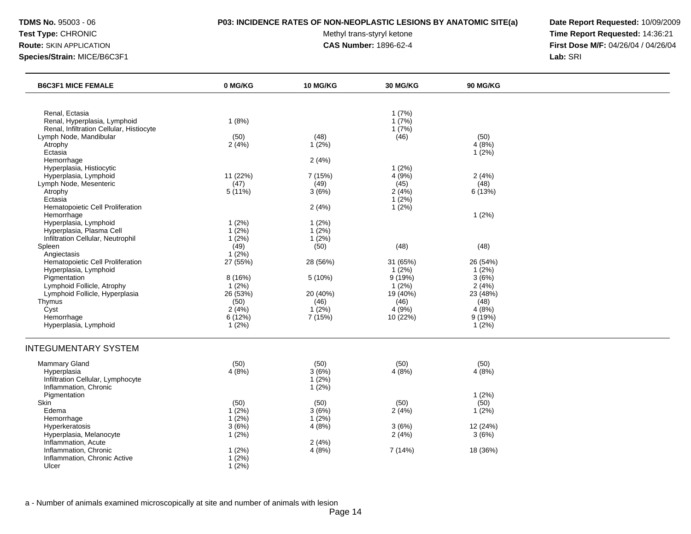### **TDMS No.** 95003 - 06 **P03: INCIDENCE RATES OF NON-NEOPLASTIC LESIONS BY ANATOMIC SITE(a) Date Report Requested:** 10/09/2009

Test Type: CHRONIC **Test Type:** CHRONIC **Test Type:** CHRONIC **Time Report Requested:** 14:36:21 **Route:** SKIN APPLICATION **CAS Number:** 1896-62-4 **First Dose M/F:** 04/26/04 / 04/26/04

| <b>B6C3F1 MICE FEMALE</b>                                                                         | 0 MG/KG                             | <b>10 MG/KG</b>                         | <b>30 MG/KG</b>                       | <b>90 MG/KG</b>                      |  |
|---------------------------------------------------------------------------------------------------|-------------------------------------|-----------------------------------------|---------------------------------------|--------------------------------------|--|
|                                                                                                   |                                     |                                         |                                       |                                      |  |
| Renal, Ectasia<br>Renal, Hyperplasia, Lymphoid<br>Renal, Infiltration Cellular, Histiocyte        | 1(8%)                               |                                         | 1(7%)<br>1(7%)<br>1(7%)               |                                      |  |
| Lymph Node, Mandibular<br>Atrophy<br>Ectasia                                                      | (50)<br>2(4%)                       | (48)<br>$1(2\%)$                        | (46)                                  | (50)<br>4(8%)<br>$1(2\%)$            |  |
| Hemorrhage<br>Hyperplasia, Histiocytic                                                            |                                     | 2(4%)                                   | 1(2%)                                 |                                      |  |
| Hyperplasia, Lymphoid<br>Lymph Node, Mesenteric<br>Atrophy<br>Ectasia                             | 11 (22%)<br>(47)<br>$5(11\%)$       | 7 (15%)<br>(49)<br>3(6%)                | 4(9%)<br>(45)<br>2(4%)<br>$1(2\%)$    | 2(4%)<br>(48)<br>6(13%)              |  |
| Hematopoietic Cell Proliferation<br>Hemorrhage<br>Hyperplasia, Lymphoid                           | 1(2%)                               | 2(4%)<br>1(2%)                          | 1(2%)                                 | 1(2%)                                |  |
| Hyperplasia, Plasma Cell<br>Infiltration Cellular, Neutrophil<br>Spleen                           | $1(2\%)$<br>$1(2\%)$<br>(49)        | 1(2%)<br>1(2%)<br>(50)                  | (48)                                  | (48)                                 |  |
| Angiectasis<br>Hematopoietic Cell Proliferation                                                   | $1(2\%)$<br>27 (55%)                | 28 (56%)                                | 31 (65%)                              | 26 (54%)                             |  |
| Hyperplasia, Lymphoid<br>Pigmentation<br>Lymphoid Follicle, Atrophy                               | 8 (16%)<br>$1(2\%)$                 | 5(10%)                                  | $1(2\%)$<br>9(19%)<br>$1(2\%)$        | 1(2%)<br>3(6%)<br>2(4%)              |  |
| Lymphoid Follicle, Hyperplasia<br>Thymus<br>Cyst<br>Hemorrhage                                    | 26 (53%)<br>(50)<br>2(4%)<br>6(12%) | 20 (40%)<br>(46)<br>$1(2\%)$<br>7 (15%) | 19 (40%)<br>(46)<br>4(9%)<br>10 (22%) | 23 (48%)<br>(48)<br>4(8%)<br>9 (19%) |  |
| Hyperplasia, Lymphoid                                                                             | 1(2%)                               |                                         |                                       | 1(2%)                                |  |
| <b>INTEGUMENTARY SYSTEM</b>                                                                       |                                     |                                         |                                       |                                      |  |
| <b>Mammary Gland</b><br>Hyperplasia<br>Infiltration Cellular, Lymphocyte<br>Inflammation, Chronic | (50)<br>4(8%)                       | (50)<br>3(6%)<br>$1(2\%)$<br>1(2%)      | (50)<br>4(8%)                         | (50)<br>4(8%)                        |  |
| Pigmentation<br><b>Skin</b><br>Edema<br>Hemorrhage                                                | (50)<br>$1(2\%)$<br>$1(2\%)$        | (50)<br>3(6%)<br>$1(2\%)$               | (50)<br>2(4%)                         | 1(2%)<br>(50)<br>1(2%)               |  |
| Hyperkeratosis<br>Hyperplasia, Melanocyte<br>Inflammation, Acute                                  | 3(6%)<br>$1(2\%)$                   | 4(8%)<br>2(4%)                          | 3(6%)<br>2(4%)                        | 12 (24%)<br>3(6%)                    |  |
| Inflammation, Chronic<br>Inflammation, Chronic Active<br>Ulcer                                    | $1(2\%)$<br>$1(2\%)$<br>$1(2\%)$    | 4(8%)                                   | 7(14%)                                | 18 (36%)                             |  |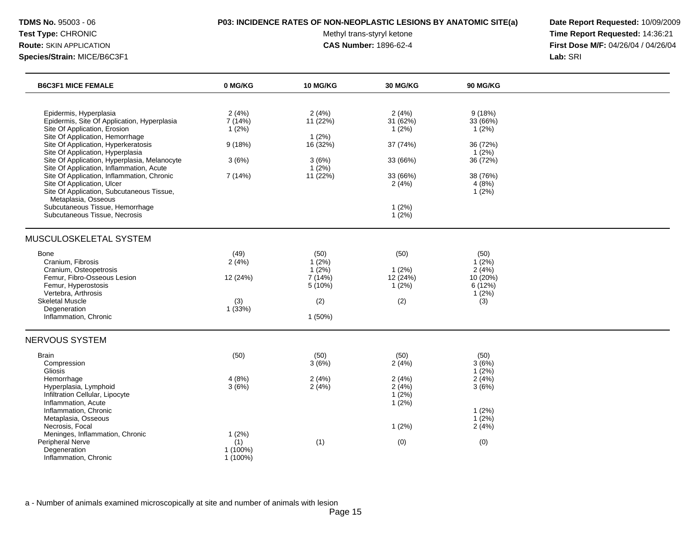### **TDMS No.** 95003 - 06 **P03: INCIDENCE RATES OF NON-NEOPLASTIC LESIONS BY ANATOMIC SITE(a) Date Report Requested:** 10/09/2009

Test Type: CHRONIC **Test Type:** CHRONIC **Test Type:** CHRONIC **Time Report Requested:** 14:36:21 **Route:** SKIN APPLICATION **CAS Number:** 1896-62-4 **First Dose M/F:** 04/26/04 / 04/26/04

| <b>B6C3F1 MICE FEMALE</b>                                                                                                                                                                                                                                                                                                                                                                                                                                                                                                           | 0 MG/KG                                                        | <b>10 MG/KG</b>                                                        | <b>30 MG/KG</b>                                                                           | <b>90 MG/KG</b>                                                                                  |  |
|-------------------------------------------------------------------------------------------------------------------------------------------------------------------------------------------------------------------------------------------------------------------------------------------------------------------------------------------------------------------------------------------------------------------------------------------------------------------------------------------------------------------------------------|----------------------------------------------------------------|------------------------------------------------------------------------|-------------------------------------------------------------------------------------------|--------------------------------------------------------------------------------------------------|--|
| Epidermis, Hyperplasia<br>Epidermis, Site Of Application, Hyperplasia<br>Site Of Application, Erosion<br>Site Of Application, Hemorrhage<br>Site Of Application, Hyperkeratosis<br>Site Of Application, Hyperplasia<br>Site Of Application, Hyperplasia, Melanocyte<br>Site Of Application, Inflammation, Acute<br>Site Of Application, Inflammation, Chronic<br>Site Of Application, Ulcer<br>Site Of Application, Subcutaneous Tissue,<br>Metaplasia, Osseous<br>Subcutaneous Tissue, Hemorrhage<br>Subcutaneous Tissue, Necrosis | 2(4%)<br>7 (14%)<br>1(2%)<br>9(18%)<br>3(6%)<br>7 (14%)        | 2(4%)<br>11 (22%)<br>1(2%)<br>16 (32%)<br>3(6%)<br>$1(2\%)$<br>11(22%) | 2(4%)<br>31 (62%)<br>1(2%)<br>37 (74%)<br>33 (66%)<br>33 (66%)<br>2(4%)<br>1(2%)<br>1(2%) | 9(18%)<br>33 (66%)<br>1(2%)<br>36 (72%)<br>$1(2\%)$<br>36 (72%)<br>38 (76%)<br>4(8%)<br>$1(2\%)$ |  |
| MUSCULOSKELETAL SYSTEM<br>Bone<br>Cranium, Fibrosis<br>Cranium, Osteopetrosis<br>Femur, Fibro-Osseous Lesion<br>Femur, Hyperostosis<br>Vertebra, Arthrosis<br><b>Skeletal Muscle</b><br>Degeneration<br>Inflammation, Chronic                                                                                                                                                                                                                                                                                                       | (49)<br>2(4%)<br>12 (24%)<br>(3)<br>1(33%)                     | (50)<br>$1(2\%)$<br>$1(2\%)$<br>7(14%)<br>5(10%)<br>(2)<br>$1(50\%)$   | (50)<br>1(2%)<br>12 (24%)<br>1(2%)<br>(2)                                                 | (50)<br>$1(2\%)$<br>2(4%)<br>10 (20%)<br>6 (12%)<br>1(2%)<br>(3)                                 |  |
| <b>NERVOUS SYSTEM</b><br><b>Brain</b><br>Compression<br>Gliosis<br>Hemorrhage<br>Hyperplasia, Lymphoid<br>Infiltration Cellular, Lipocyte<br>Inflammation, Acute<br>Inflammation, Chronic<br>Metaplasia, Osseous<br>Necrosis, Focal<br>Meninges, Inflammation, Chronic<br>Peripheral Nerve<br>Degeneration<br>Inflammation, Chronic                                                                                                                                                                                                 | (50)<br>4(8%)<br>3(6%)<br>1(2%)<br>(1)<br>1 (100%)<br>1 (100%) | (50)<br>3(6%)<br>2(4%)<br>2(4%)<br>(1)                                 | (50)<br>2(4%)<br>2(4%)<br>2(4%)<br>1(2%)<br>$1(2\%)$<br>1(2%)<br>(0)                      | (50)<br>3(6%)<br>$1(2\%)$<br>2(4%)<br>3(6%)<br>1(2%)<br>1(2%)<br>2(4%)<br>(0)                    |  |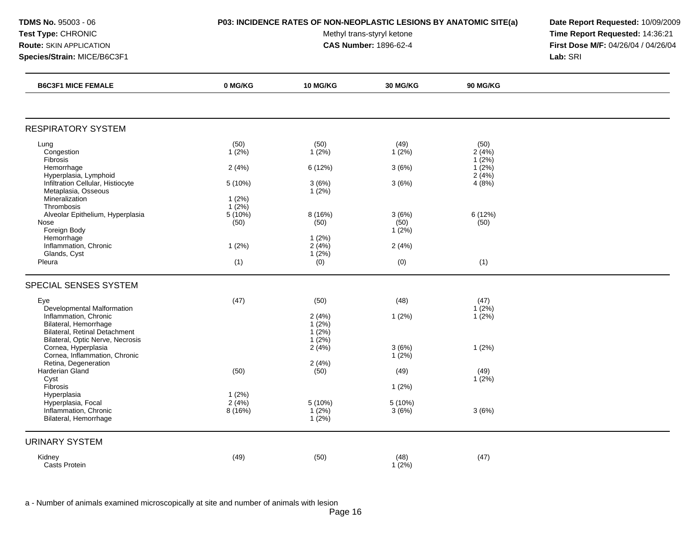**Species/Strain:** MICE/B6C3F1 **Lab:** SRI

Test Type: CHRONIC **Test Type:** CHRONIC **Test Type:** CHRONIC **Time Report Requested:** 14:36:21 **Route:** SKIN APPLICATION **CAS Number:** 1896-62-4 **First Dose M/F:** 04/26/04 / 04/26/04

| <b>B6C3F1 MICE FEMALE</b>                                | 0 MG/KG           | <b>10 MG/KG</b>      | 30 MG/KG         | <b>90 MG/KG</b>      |  |
|----------------------------------------------------------|-------------------|----------------------|------------------|----------------------|--|
|                                                          |                   |                      |                  |                      |  |
| <b>RESPIRATORY SYSTEM</b>                                |                   |                      |                  |                      |  |
| Lung                                                     | (50)              | (50)                 | (49)             | (50)                 |  |
| Congestion<br>Fibrosis                                   | $1(2\%)$          | 1(2%)                | 1(2%)            | 2(4%)<br>1(2%)       |  |
| Hemorrhage<br>Hyperplasia, Lymphoid                      | 2(4%)             | 6(12%)               | 3(6%)            | $1(2\%)$<br>2(4%)    |  |
| Infiltration Cellular, Histiocyte<br>Metaplasia, Osseous | 5 (10%)           | 3(6%)<br>$1(2\%)$    | 3(6%)            | 4(8%)                |  |
| Mineralization<br>Thrombosis                             | 1(2%)<br>$1(2\%)$ |                      |                  |                      |  |
| Alveolar Epithelium, Hyperplasia                         | $5(10\%)$         | 8 (16%)              | 3(6%)            | 6 (12%)              |  |
| Nose<br>Foreign Body                                     | (50)              | (50)                 | (50)<br>$1(2\%)$ | (50)                 |  |
| Hemorrhage                                               |                   | 1(2%)                |                  |                      |  |
| Inflammation, Chronic<br>Glands, Cyst                    | 1(2%)             | 2(4%)<br>1(2%)       | 2(4%)            |                      |  |
| Pleura                                                   | (1)               | (0)                  | (0)              | (1)                  |  |
| SPECIAL SENSES SYSTEM                                    |                   |                      |                  |                      |  |
| Eye                                                      | (47)              | (50)                 | (48)             | (47)                 |  |
| Developmental Malformation<br>Inflammation, Chronic      |                   | 2(4%)                | 1(2%)            | $1(2\%)$<br>$1(2\%)$ |  |
| Bilateral, Hemorrhage<br>Bilateral, Retinal Detachment   |                   | $1(2\%)$<br>$1(2\%)$ |                  |                      |  |
| Bilateral, Optic Nerve, Necrosis<br>Cornea, Hyperplasia  |                   | $1(2\%)$<br>2(4%)    | 3(6%)            | 1(2%)                |  |
| Cornea, Inflammation, Chronic<br>Retina, Degeneration    |                   | 2(4%)                | $1(2\%)$         |                      |  |
| Harderian Gland                                          | (50)              | (50)                 | (49)             | (49)                 |  |
| Cyst<br>Fibrosis                                         |                   |                      | 1(2%)            | 1(2%)                |  |
| Hyperplasia                                              | 1(2%)             |                      |                  |                      |  |
| Hyperplasia, Focal<br>Inflammation, Chronic              | 2(4%)<br>8(16%)   | $5(10\%)$<br>1(2%)   | 5 (10%)<br>3(6%) | 3(6%)                |  |
| Bilateral, Hemorrhage                                    |                   | $1(2\%)$             |                  |                      |  |
| <b>URINARY SYSTEM</b>                                    |                   |                      |                  |                      |  |
| Kidney                                                   | (49)              | (50)                 | (48)             | (47)                 |  |
| Casts Protein                                            |                   |                      | $1(2\%)$         |                      |  |